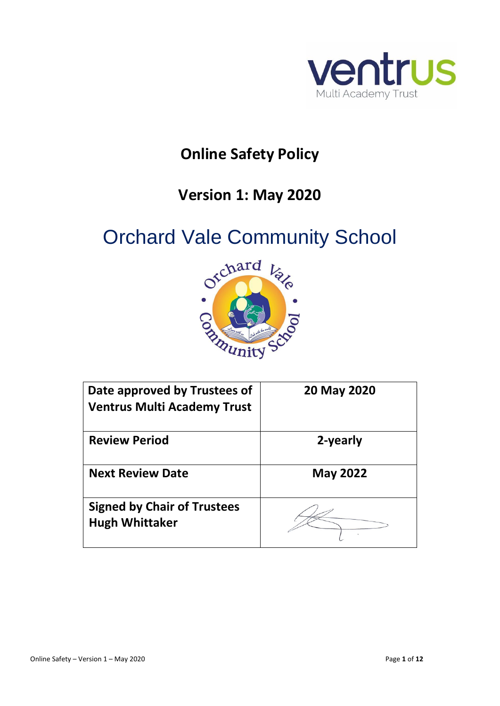

# **Online Safety Policy**

# **Version 1: May 2020**

# Orchard Vale Community School



| Date approved by Trustees of<br><b>Ventrus Multi Academy Trust</b> | 20 May 2020     |
|--------------------------------------------------------------------|-----------------|
|                                                                    |                 |
| <b>Review Period</b>                                               | 2-yearly        |
|                                                                    |                 |
| <b>Next Review Date</b>                                            | <b>May 2022</b> |
| <b>Signed by Chair of Trustees</b>                                 |                 |
| <b>Hugh Whittaker</b>                                              |                 |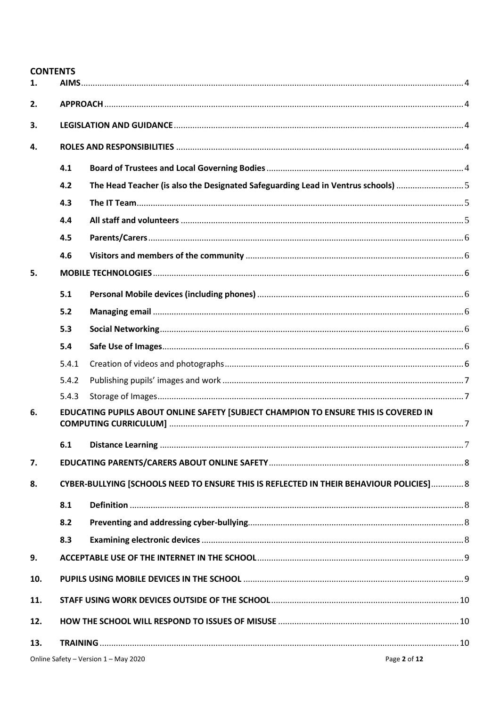$\mathbf{1}$ .  $2.$  $3.$ ROLFS AND RESPONSIBILITIES 44  $\mathbf{4}$  $4.1$  $4.2$ The Head Teacher (is also the Designated Safeguarding Lead in Ventrus schools) ...............................  $4.3$  $4.4$  $4.5$  $4.6$ 5.  $5.1$ 5.2  $5.3$  $5.4$  $5.4.1$  $5.4.2$ 5.4.3 EDUCATING PUPILS ABOUT ONLINE SAFETY [SUBJECT CHAMPION TO ENSURE THIS IS COVERED IN 6  $6.1$ 7. CYBER-BULLYING ISCHOOLS NEED TO ENSURE THIS IS REFLECTED IN THEIR BEHAVIOUR POLICIES 1.............. 8  $\mathbf{R}$  $8.1$  $8.2$  $8.3$ 9. 10. 11.  $12<sub>1</sub>$ 13. 

**CONTENTS**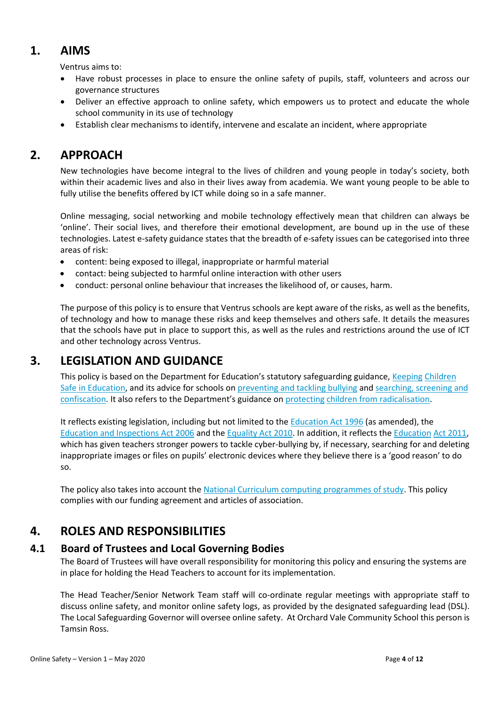# <span id="page-3-0"></span>**1. AIMS**

Ventrus aims to:

- Have robust processes in place to ensure the online safety of pupils, staff, volunteers and across our governance structures
- Deliver an effective approach to online safety, which empowers us to protect and educate the whole school community in its use of technology
- Establish clear mechanisms to identify, intervene and escalate an incident, where appropriate

# <span id="page-3-1"></span>**2. APPROACH**

New technologies have become integral to the lives of children and young people in today's society, both within their academic lives and also in their lives away from academia. We want young people to be able to fully utilise the benefits offered by ICT while doing so in a safe manner.

Online messaging, social networking and mobile technology effectively mean that children can always be 'online'. Their social lives, and therefore their emotional development, are bound up in the use of these technologies. Latest e-safety guidance states that the breadth of e-safety issues can be categorised into three areas of risk:

- content: being exposed to illegal, inappropriate or harmful material
- contact: being subjected to harmful online interaction with other users
- conduct: personal online behaviour that increases the likelihood of, or causes, harm.

The purpose of this policy is to ensure that Ventrus schools are kept aware of the risks, as well as the benefits, of technology and how to manage these risks and keep themselves and others safe. It details the measures that the schools have put in place to support this, as well as the rules and restrictions around the use of ICT and other technology across Ventrus.

# <span id="page-3-2"></span>**3. LEGISLATION AND GUIDANCE**

This policy is based on the Department for Education's statutory safeguarding guidance, Keeping Children Safe in Education, and its advice for schools on preventing and tackling bullying and searching, screening and confiscation. It also refers to the Department's guidance on protecting children from radicalisation.

It reflects existing legislation, including but not limited to the Education Act 1996 (as amended), the Education and Inspections Act 2006 and the Equality Act 2010. In addition, it reflects the Education Act 2011, which has given teachers stronger powers to tackle cyber-bullying by, if necessary, searching for and deleting inappropriate images or files on pupils' electronic devices where they believe there is a 'good reason' to do so.

The policy also takes into account the National Curriculum computing programmes of study. This policy complies with our funding agreement and articles of association.

## <span id="page-3-3"></span>**4. ROLES AND RESPONSIBILITIES**

#### <span id="page-3-4"></span>**4.1 Board of Trustees and Local Governing Bodies**

The Board of Trustees will have overall responsibility for monitoring this policy and ensuring the systems are in place for holding the Head Teachers to account for its implementation.

The Head Teacher/Senior Network Team staff will co-ordinate regular meetings with appropriate staff to discuss online safety, and monitor online safety logs, as provided by the designated safeguarding lead (DSL). The Local Safeguarding Governor will oversee online safety. At Orchard Vale Community School this person is Tamsin Ross.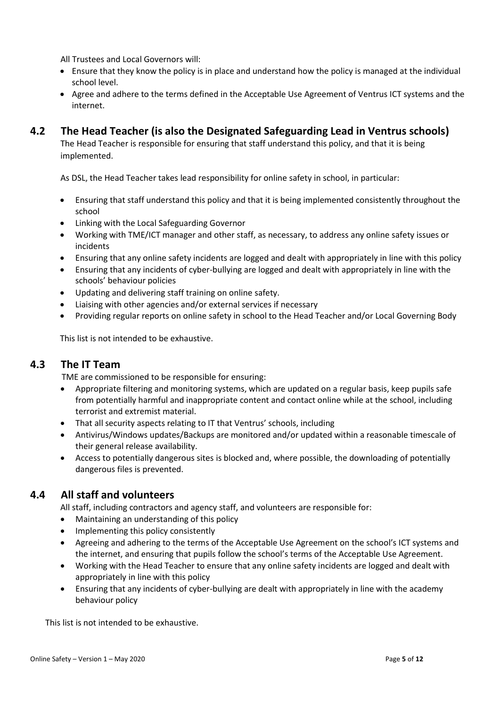All Trustees and Local Governors will:

- Ensure that they know the policy is in place and understand how the policy is managed at the individual school level.
- Agree and adhere to the terms defined in the Acceptable Use Agreement of Ventrus ICT systems and the internet.

#### <span id="page-4-0"></span>**4.2 The Head Teacher (is also the Designated Safeguarding Lead in Ventrus schools)**

The Head Teacher is responsible for ensuring that staff understand this policy, and that it is being implemented.

As DSL, the Head Teacher takes lead responsibility for online safety in school, in particular:

- Ensuring that staff understand this policy and that it is being implemented consistently throughout the school
- Linking with the Local Safeguarding Governor
- Working with TME/ICT manager and other staff, as necessary, to address any online safety issues or incidents
- Ensuring that any online safety incidents are logged and dealt with appropriately in line with this policy
- Ensuring that any incidents of cyber-bullying are logged and dealt with appropriately in line with the schools' behaviour policies
- Updating and delivering staff training on online safety.
- Liaising with other agencies and/or external services if necessary
- Providing regular reports on online safety in school to the Head Teacher and/or Local Governing Body

This list is not intended to be exhaustive.

#### <span id="page-4-1"></span>**4.3 The IT Team**

TME are commissioned to be responsible for ensuring:

- Appropriate filtering and monitoring systems, which are updated on a regular basis, keep pupils safe from potentially harmful and inappropriate content and contact online while at the school, including terrorist and extremist material.
- That all security aspects relating to IT that Ventrus' schools, including
- Antivirus/Windows updates/Backups are monitored and/or updated within a reasonable timescale of their general release availability.
- Access to potentially dangerous sites is blocked and, where possible, the downloading of potentially dangerous files is prevented.

#### <span id="page-4-2"></span>**4.4 All staff and volunteers**

All staff, including contractors and agency staff, and volunteers are responsible for:

- Maintaining an understanding of this policy
- Implementing this policy consistently
- Agreeing and adhering to the terms of the Acceptable Use Agreement on the school's ICT systems and the internet, and ensuring that pupils follow the school's terms of the Acceptable Use Agreement.
- Working with the Head Teacher to ensure that any online safety incidents are logged and dealt with appropriately in line with this policy
- Ensuring that any incidents of cyber-bullying are dealt with appropriately in line with the academy behaviour policy

This list is not intended to be exhaustive.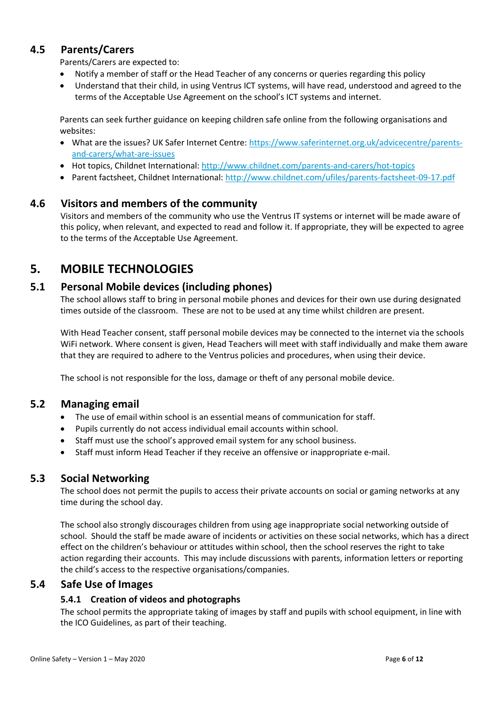#### <span id="page-5-0"></span>**4.5 Parents/Carers**

Parents/Carers are expected to:

- Notify a member of staff or the Head Teacher of any concerns or queries regarding this policy
- Understand that their child, in using Ventrus ICT systems, will have read, understood and agreed to the terms of the Acceptable Use Agreement on the school's ICT systems and internet.

Parents can seek further guidance on keeping children safe online from the following organisations and websites:

- What are the issues? UK Safer Internet Centre: https://www.saferinternet.org.uk/advicecentre/parentsand-carers/what-are-issues
- Hot topics, Childnet International: http://www.childnet.com/parents-and-carers/hot-topics
- Parent factsheet, Childnet International: http://www.childnet.com/ufiles/parents-factsheet-09-17.pdf

#### <span id="page-5-1"></span>**4.6 Visitors and members of the community**

Visitors and members of the community who use the Ventrus IT systems or internet will be made aware of this policy, when relevant, and expected to read and follow it. If appropriate, they will be expected to agree to the terms of the Acceptable Use Agreement.

## <span id="page-5-2"></span>**5. MOBILE TECHNOLOGIES**

#### <span id="page-5-3"></span>**5.1 Personal Mobile devices (including phones)**

The school allows staff to bring in personal mobile phones and devices for their own use during designated times outside of the classroom. These are not to be used at any time whilst children are present.

With Head Teacher consent, staff personal mobile devices may be connected to the internet via the schools WiFi network. Where consent is given, Head Teachers will meet with staff individually and make them aware that they are required to adhere to the Ventrus policies and procedures, when using their device.

The school is not responsible for the loss, damage or theft of any personal mobile device.

#### <span id="page-5-4"></span>**5.2 Managing email**

- The use of email within school is an essential means of communication for staff.
- Pupils currently do not access individual email accounts within school.
- Staff must use the school's approved email system for any school business.
- Staff must inform Head Teacher if they receive an offensive or inappropriate e-mail.

#### <span id="page-5-5"></span>**5.3 Social Networking**

The school does not permit the pupils to access their private accounts on social or gaming networks at any time during the school day.

The school also strongly discourages children from using age inappropriate social networking outside of school. Should the staff be made aware of incidents or activities on these social networks, which has a direct effect on the children's behaviour or attitudes within school, then the school reserves the right to take action regarding their accounts. This may include discussions with parents, information letters or reporting the child's access to the respective organisations/companies.

#### <span id="page-5-7"></span><span id="page-5-6"></span>**5.4 Safe Use of Images**

#### **5.4.1 Creation of videos and photographs**

The school permits the appropriate taking of images by staff and pupils with school equipment, in line with the ICO Guidelines, as part of their teaching.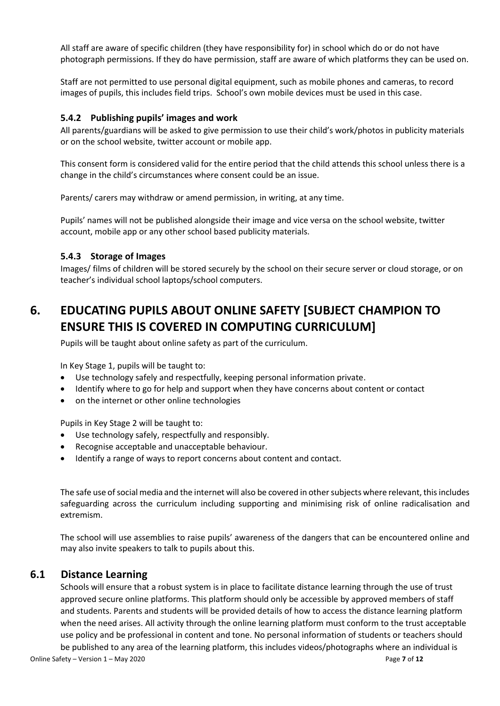All staff are aware of specific children (they have responsibility for) in school which do or do not have photograph permissions. If they do have permission, staff are aware of which platforms they can be used on.

Staff are not permitted to use personal digital equipment, such as mobile phones and cameras, to record images of pupils, this includes field trips. School's own mobile devices must be used in this case.

#### <span id="page-6-0"></span>**5.4.2 Publishing pupils' images and work**

All parents/guardians will be asked to give permission to use their child's work/photos in publicity materials or on the school website, twitter account or mobile app.

This consent form is considered valid for the entire period that the child attends this school unless there is a change in the child's circumstances where consent could be an issue.

Parents/ carers may withdraw or amend permission, in writing, at any time.

Pupils' names will not be published alongside their image and vice versa on the school website, twitter account, mobile app or any other school based publicity materials.

#### <span id="page-6-1"></span>**5.4.3 Storage of Images**

Images/ films of children will be stored securely by the school on their secure server or cloud storage, or on teacher's individual school laptops/school computers.

# <span id="page-6-2"></span>**6. EDUCATING PUPILS ABOUT ONLINE SAFETY [SUBJECT CHAMPION TO ENSURE THIS IS COVERED IN COMPUTING CURRICULUM]**

Pupils will be taught about online safety as part of the curriculum.

In Key Stage 1, pupils will be taught to:

- Use technology safely and respectfully, keeping personal information private.
- Identify where to go for help and support when they have concerns about content or contact
- on the internet or other online technologies

Pupils in Key Stage 2 will be taught to:

- Use technology safely, respectfully and responsibly.
- Recognise acceptable and unacceptable behaviour.
- Identify a range of ways to report concerns about content and contact.

The safe use of social media and the internet will also be covered in other subjects where relevant, this includes safeguarding across the curriculum including supporting and minimising risk of online radicalisation and extremism.

The school will use assemblies to raise pupils' awareness of the dangers that can be encountered online and may also invite speakers to talk to pupils about this.

#### <span id="page-6-3"></span>**6.1 Distance Learning**

Schools will ensure that a robust system is in place to facilitate distance learning through the use of trust approved secure online platforms. This platform should only be accessible by approved members of staff and students. Parents and students will be provided details of how to access the distance learning platform when the need arises. All activity through the online learning platform must conform to the trust acceptable use policy and be professional in content and tone. No personal information of students or teachers should be published to any area of the learning platform, this includes videos/photographs where an individual is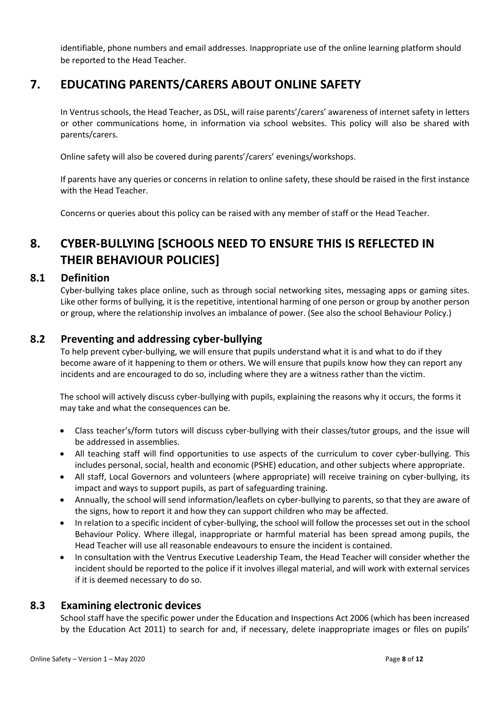identifiable, phone numbers and email addresses. Inappropriate use of the online learning platform should be reported to the Head Teacher.

# <span id="page-7-0"></span>**7. EDUCATING PARENTS/CARERS ABOUT ONLINE SAFETY**

In Ventrus schools, the Head Teacher, as DSL, will raise parents'/carers' awareness of internet safety in letters or other communications home, in information via school websites. This policy will also be shared with parents/carers.

Online safety will also be covered during parents'/carers' evenings/workshops.

If parents have any queries or concerns in relation to online safety, these should be raised in the first instance with the Head Teacher.

Concerns or queries about this policy can be raised with any member of staff or the Head Teacher.

# <span id="page-7-1"></span>**8. CYBER-BULLYING [SCHOOLS NEED TO ENSURE THIS IS REFLECTED IN THEIR BEHAVIOUR POLICIES]**

#### <span id="page-7-2"></span>**8.1 Definition**

Cyber-bullying takes place online, such as through social networking sites, messaging apps or gaming sites. Like other forms of bullying, it is the repetitive, intentional harming of one person or group by another person or group, where the relationship involves an imbalance of power. (See also the school Behaviour Policy.)

#### <span id="page-7-3"></span>**8.2 Preventing and addressing cyber-bullying**

To help prevent cyber-bullying, we will ensure that pupils understand what it is and what to do if they become aware of it happening to them or others. We will ensure that pupils know how they can report any incidents and are encouraged to do so, including where they are a witness rather than the victim.

The school will actively discuss cyber-bullying with pupils, explaining the reasons why it occurs, the forms it may take and what the consequences can be.

- Class teacher's/form tutors will discuss cyber-bullying with their classes/tutor groups, and the issue will be addressed in assemblies.
- All teaching staff will find opportunities to use aspects of the curriculum to cover cyber-bullying. This includes personal, social, health and economic (PSHE) education, and other subjects where appropriate.
- All staff, Local Governors and volunteers (where appropriate) will receive training on cyber-bullying, its impact and ways to support pupils, as part of safeguarding training.
- Annually, the school will send information/leaflets on cyber-bullying to parents, so that they are aware of the signs, how to report it and how they can support children who may be affected.
- In relation to a specific incident of cyber-bullying, the school will follow the processes set out in the school Behaviour Policy. Where illegal, inappropriate or harmful material has been spread among pupils, the Head Teacher will use all reasonable endeavours to ensure the incident is contained.
- In consultation with the Ventrus Executive Leadership Team, the Head Teacher will consider whether the incident should be reported to the police if it involves illegal material, and will work with external services if it is deemed necessary to do so.

#### <span id="page-7-4"></span>**8.3 Examining electronic devices**

School staff have the specific power under the Education and Inspections Act 2006 (which has been increased by the Education Act 2011) to search for and, if necessary, delete inappropriate images or files on pupils'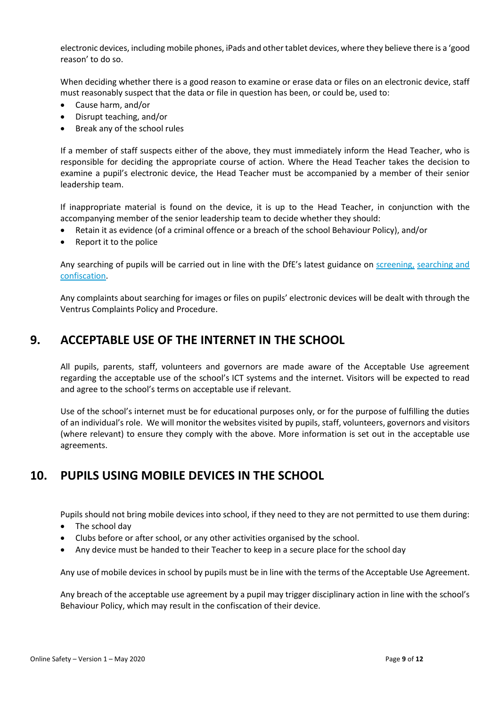electronic devices, including mobile phones, iPads and other tablet devices, where they believe there is a 'good reason' to do so.

When deciding whether there is a good reason to examine or erase data or files on an electronic device, staff must reasonably suspect that the data or file in question has been, or could be, used to:

- Cause harm, and/or
- Disrupt teaching, and/or
- Break any of the school rules

If a member of staff suspects either of the above, they must immediately inform the Head Teacher, who is responsible for deciding the appropriate course of action. Where the Head Teacher takes the decision to examine a pupil's electronic device, the Head Teacher must be accompanied by a member of their senior leadership team.

If inappropriate material is found on the device, it is up to the Head Teacher, in conjunction with the accompanying member of the senior leadership team to decide whether they should:

- Retain it as evidence (of a criminal offence or a breach of the school Behaviour Policy), and/or
- Report it to the police

Any searching of pupils will be carried out in line with the DfE's latest guidance on screening, searching and confiscation.

Any complaints about searching for images or files on pupils' electronic devices will be dealt with through the Ventrus Complaints Policy and Procedure.

## <span id="page-8-0"></span>**9. ACCEPTABLE USE OF THE INTERNET IN THE SCHOOL**

All pupils, parents, staff, volunteers and governors are made aware of the Acceptable Use agreement regarding the acceptable use of the school's ICT systems and the internet. Visitors will be expected to read and agree to the school's terms on acceptable use if relevant.

Use of the school's internet must be for educational purposes only, or for the purpose of fulfilling the duties of an individual's role. We will monitor the websites visited by pupils, staff, volunteers, governors and visitors (where relevant) to ensure they comply with the above. More information is set out in the acceptable use agreements.

# <span id="page-8-1"></span>**10. PUPILS USING MOBILE DEVICES IN THE SCHOOL**

Pupils should not bring mobile devices into school, if they need to they are not permitted to use them during:

- The school day
- Clubs before or after school, or any other activities organised by the school.
- Any device must be handed to their Teacher to keep in a secure place for the school day

Any use of mobile devices in school by pupils must be in line with the terms of the Acceptable Use Agreement.

Any breach of the acceptable use agreement by a pupil may trigger disciplinary action in line with the school's Behaviour Policy, which may result in the confiscation of their device.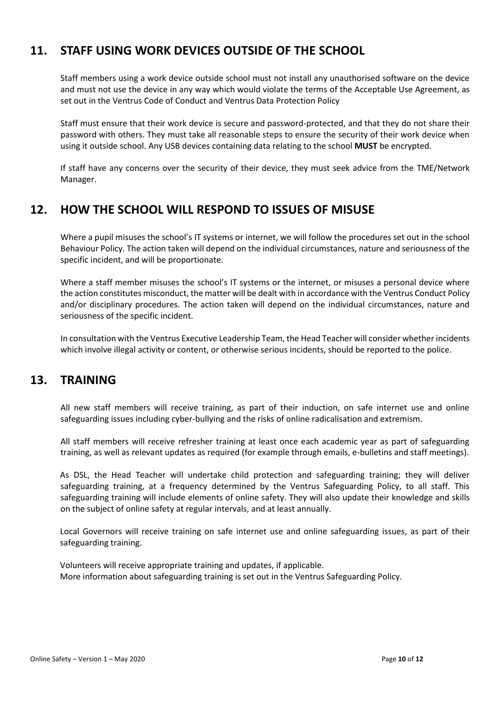# <span id="page-9-0"></span>**11. STAFF USING WORK DEVICES OUTSIDE OF THE SCHOOL**

Staff members using a work device outside school must not install any unauthorised software on the device and must not use the device in any way which would violate the terms of the Acceptable Use Agreement, as set out in the Ventrus Code of Conduct and Ventrus Data Protection Policy

Staff must ensure that their work device is secure and password-protected, and that they do not share their password with others. They must take all reasonable steps to ensure the security of their work device when using it outside school. Any USB devices containing data relating to the school **MUST** be encrypted.

If staff have any concerns over the security of their device, they must seek advice from the TME/Network Manager.

# <span id="page-9-1"></span>**12. HOW THE SCHOOL WILL RESPOND TO ISSUES OF MISUSE**

Where a pupil misuses the school's IT systems or internet, we will follow the procedures set out in the school Behaviour Policy. The action taken will depend on the individual circumstances, nature and seriousness of the specific incident, and will be proportionate.

Where a staff member misuses the school's IT systems or the internet, or misuses a personal device where the action constitutes misconduct, the matter will be dealt with in accordance with the Ventrus Conduct Policy and/or disciplinary procedures. The action taken will depend on the individual circumstances, nature and seriousness of the specific incident.

In consultation with the Ventrus Executive Leadership Team, the Head Teacher will consider whether incidents which involve illegal activity or content, or otherwise serious incidents, should be reported to the police.

### <span id="page-9-2"></span>**13. TRAINING**

All new staff members will receive training, as part of their induction, on safe internet use and online safeguarding issues including cyber-bullying and the risks of online radicalisation and extremism.

All staff members will receive refresher training at least once each academic year as part of safeguarding training, as well as relevant updates as required (for example through emails, e-bulletins and staff meetings).

As DSL, the Head Teacher will undertake child protection and safeguarding training; they will deliver safeguarding training, at a frequency determined by the Ventrus Safeguarding Policy, to all staff. This safeguarding training will include elements of online safety. They will also update their knowledge and skills on the subject of online safety at regular intervals, and at least annually.

Local Governors will receive training on safe internet use and online safeguarding issues, as part of their safeguarding training.

Volunteers will receive appropriate training and updates, if applicable. More information about safeguarding training is set out in the Ventrus Safeguarding Policy.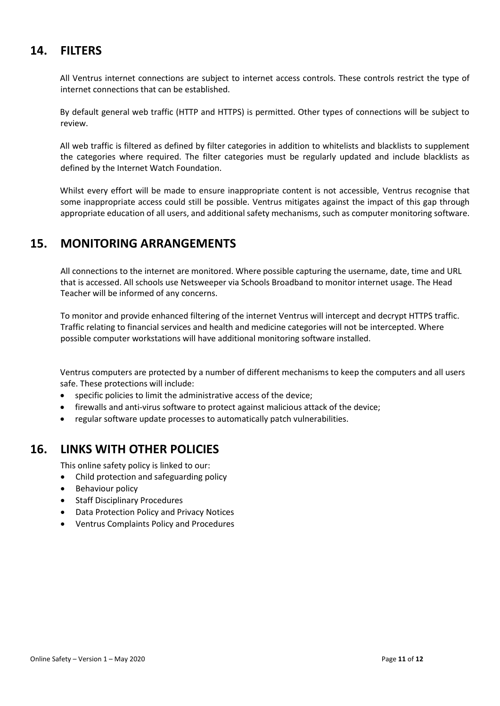# <span id="page-10-0"></span>**14. FILTERS**

All Ventrus internet connections are subject to internet access controls. These controls restrict the type of internet connections that can be established.

By default general web traffic (HTTP and HTTPS) is permitted. Other types of connections will be subject to review.

All web traffic is filtered as defined by filter categories in addition to whitelists and blacklists to supplement the categories where required. The filter categories must be regularly updated and include blacklists as defined by the Internet Watch Foundation.

Whilst every effort will be made to ensure inappropriate content is not accessible, Ventrus recognise that some inappropriate access could still be possible. Ventrus mitigates against the impact of this gap through appropriate education of all users, and additional safety mechanisms, such as computer monitoring software.

## <span id="page-10-1"></span>**15. MONITORING ARRANGEMENTS**

All connections to the internet are monitored. Where possible capturing the username, date, time and URL that is accessed. All schools use Netsweeper via Schools Broadband to monitor internet usage. The Head Teacher will be informed of any concerns.

To monitor and provide enhanced filtering of the internet Ventrus will intercept and decrypt HTTPS traffic. Traffic relating to financial services and health and medicine categories will not be intercepted. Where possible computer workstations will have additional monitoring software installed.

Ventrus computers are protected by a number of different mechanisms to keep the computers and all users safe. These protections will include:

- specific policies to limit the administrative access of the device;
- firewalls and anti-virus software to protect against malicious attack of the device;
- regular software update processes to automatically patch vulnerabilities.

## <span id="page-10-2"></span>**16. LINKS WITH OTHER POLICIES**

This online safety policy is linked to our:

- Child protection and safeguarding policy
- Behaviour policy
- Staff Disciplinary Procedures
- Data Protection Policy and Privacy Notices
- Ventrus Complaints Policy and Procedures